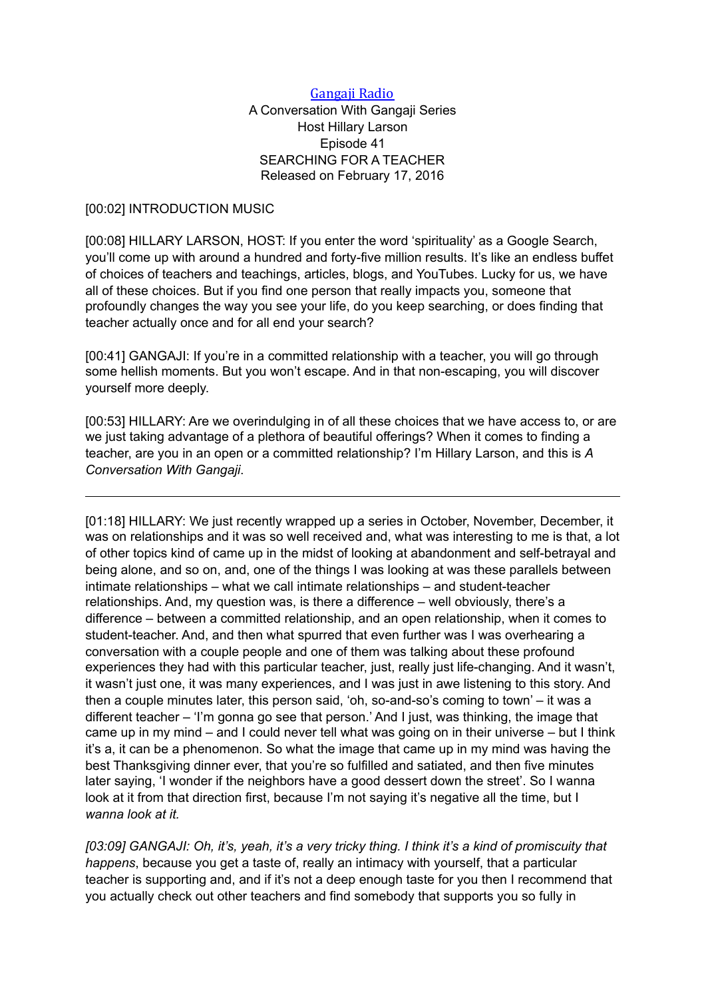### Gangaji Radio

# A Conversation With Gangaji Series Host Hillary Larson Episode 41 SEARCHING FOR A TEACHER Released on February 17, 2016

### [00:02] INTRODUCTION MUSIC

[00:08] HILLARY LARSON, HOST: If you enter the word 'spirituality' as a Google Search, you'll come up with around a hundred and forty-five million results. It's like an endless buffet of choices of teachers and teachings, articles, blogs, and YouTubes. Lucky for us, we have all of these choices. But if you find one person that really impacts you, someone that profoundly changes the way you see your life, do you keep searching, or does finding that teacher actually once and for all end your search?

[00:41] GANGAJI: If you're in a committed relationship with a teacher, you will go through some hellish moments. But you won't escape. And in that non-escaping, you will discover yourself more deeply.

[00:53] HILLARY: Are we overindulging in of all these choices that we have access to, or are we just taking advantage of a plethora of beautiful offerings? When it comes to finding a teacher, are you in an open or a committed relationship? I'm Hillary Larson, and this is *A Conversation With Gangaji*.

[01:18] HILLARY: We just recently wrapped up a series in October, November, December, it was on relationships and it was so well received and, what was interesting to me is that, a lot of other topics kind of came up in the midst of looking at abandonment and self-betrayal and being alone, and so on, and, one of the things I was looking at was these parallels between intimate relationships – what we call intimate relationships – and student-teacher relationships. And, my question was, is there a difference – well obviously, there's a difference – between a committed relationship, and an open relationship, when it comes to student-teacher. And, and then what spurred that even further was I was overhearing a conversation with a couple people and one of them was talking about these profound experiences they had with this particular teacher, just, really just life-changing. And it wasn't, it wasn't just one, it was many experiences, and I was just in awe listening to this story. And then a couple minutes later, this person said, 'oh, so-and-so's coming to town' – it was a different teacher – 'I'm gonna go see that person.' And I just, was thinking, the image that came up in my mind – and I could never tell what was going on in their universe – but I think it's a, it can be a phenomenon. So what the image that came up in my mind was having the best Thanksgiving dinner ever, that you're so fulfilled and satiated, and then five minutes later saying, 'I wonder if the neighbors have a good dessert down the street'. So I wanna look at it from that direction first, because I'm not saying it's negative all the time, but I *wanna look at it.* 

*[03:09] GANGAJI: Oh, it's, yeah, it's a very tricky thing. I think it's a kind of promiscuity that happens*, because you get a taste of, really an intimacy with yourself, that a particular teacher is supporting and, and if it's not a deep enough taste for you then I recommend that you actually check out other teachers and find somebody that supports you so fully in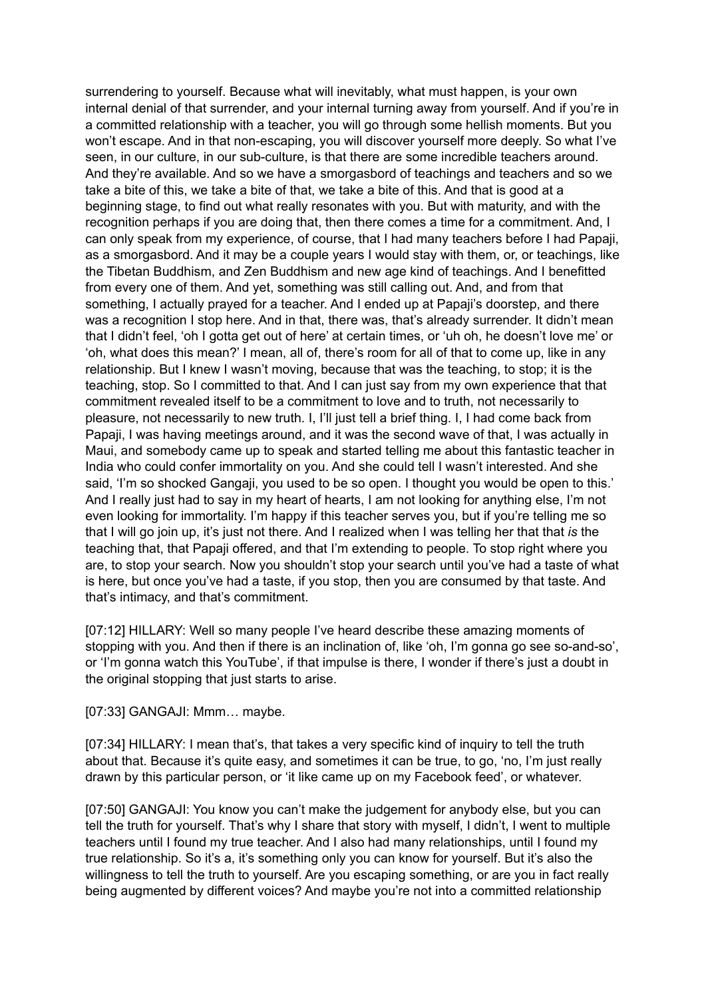surrendering to yourself. Because what will inevitably, what must happen, is your own internal denial of that surrender, and your internal turning away from yourself. And if you're in a committed relationship with a teacher, you will go through some hellish moments. But you won't escape. And in that non-escaping, you will discover yourself more deeply. So what I've seen, in our culture, in our sub-culture, is that there are some incredible teachers around. And they're available. And so we have a smorgasbord of teachings and teachers and so we take a bite of this, we take a bite of that, we take a bite of this. And that is good at a beginning stage, to find out what really resonates with you. But with maturity, and with the recognition perhaps if you are doing that, then there comes a time for a commitment. And, I can only speak from my experience, of course, that I had many teachers before I had Papaji, as a smorgasbord. And it may be a couple years I would stay with them, or, or teachings, like the Tibetan Buddhism, and Zen Buddhism and new age kind of teachings. And I benefitted from every one of them. And yet, something was still calling out. And, and from that something, I actually prayed for a teacher. And I ended up at Papaji's doorstep, and there was a recognition I stop here. And in that, there was, that's already surrender. It didn't mean that I didn't feel, 'oh I gotta get out of here' at certain times, or 'uh oh, he doesn't love me' or 'oh, what does this mean?' I mean, all of, there's room for all of that to come up, like in any relationship. But I knew I wasn't moving, because that was the teaching, to stop; it is the teaching, stop. So I committed to that. And I can just say from my own experience that that commitment revealed itself to be a commitment to love and to truth, not necessarily to pleasure, not necessarily to new truth. I, I'll just tell a brief thing. I, I had come back from Papaji, I was having meetings around, and it was the second wave of that, I was actually in Maui, and somebody came up to speak and started telling me about this fantastic teacher in India who could confer immortality on you. And she could tell I wasn't interested. And she said, 'I'm so shocked Gangaji, you used to be so open. I thought you would be open to this.' And I really just had to say in my heart of hearts, I am not looking for anything else, I'm not even looking for immortality. I'm happy if this teacher serves you, but if you're telling me so that I will go join up, it's just not there. And I realized when I was telling her that that *is* the teaching that, that Papaji offered, and that I'm extending to people. To stop right where you are, to stop your search. Now you shouldn't stop your search until you've had a taste of what is here, but once you've had a taste, if you stop, then you are consumed by that taste. And that's intimacy, and that's commitment.

[07:12] HILLARY: Well so many people I've heard describe these amazing moments of stopping with you. And then if there is an inclination of, like 'oh, I'm gonna go see so-and-so', or 'I'm gonna watch this YouTube', if that impulse is there, I wonder if there's just a doubt in the original stopping that just starts to arise.

#### [07:33] GANGAJI: Mmm… maybe.

[07:34] HILLARY: I mean that's, that takes a very specific kind of inquiry to tell the truth about that. Because it's quite easy, and sometimes it can be true, to go, 'no, I'm just really drawn by this particular person, or 'it like came up on my Facebook feed', or whatever.

[07:50] GANGAJI: You know you can't make the judgement for anybody else, but you can tell the truth for yourself. That's why I share that story with myself, I didn't, I went to multiple teachers until I found my true teacher. And I also had many relationships, until I found my true relationship. So it's a, it's something only you can know for yourself. But it's also the willingness to tell the truth to yourself. Are you escaping something, or are you in fact really being augmented by different voices? And maybe you're not into a committed relationship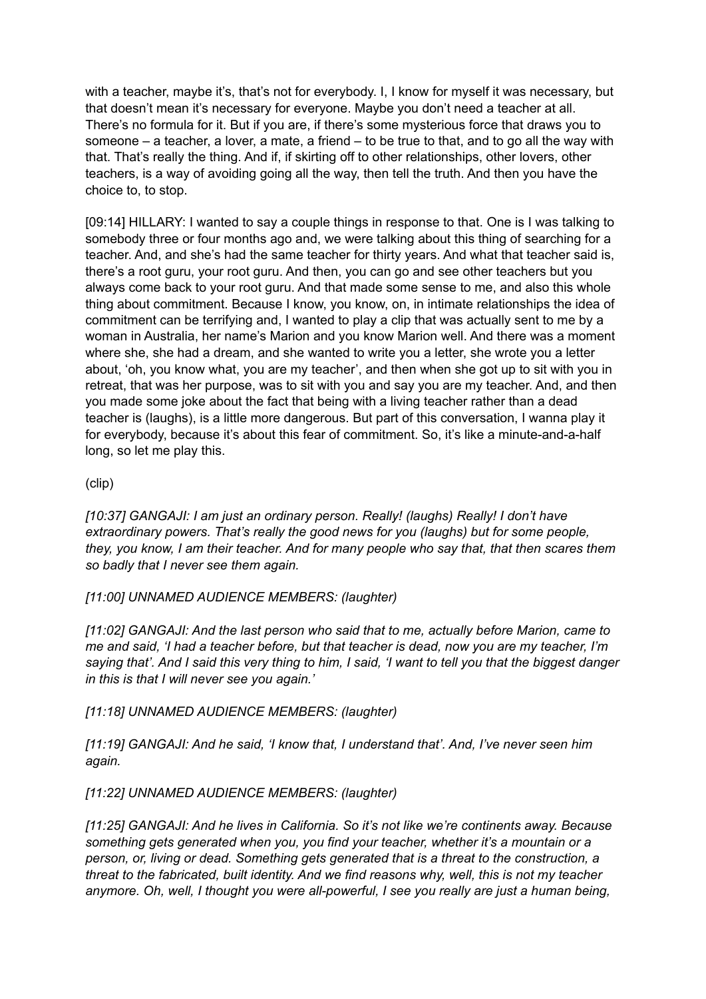with a teacher, maybe it's, that's not for everybody. I, I know for myself it was necessary, but that doesn't mean it's necessary for everyone. Maybe you don't need a teacher at all. There's no formula for it. But if you are, if there's some mysterious force that draws you to someone – a teacher, a lover, a mate, a friend – to be true to that, and to go all the way with that. That's really the thing. And if, if skirting off to other relationships, other lovers, other teachers, is a way of avoiding going all the way, then tell the truth. And then you have the choice to, to stop.

[09:14] HILLARY: I wanted to say a couple things in response to that. One is I was talking to somebody three or four months ago and, we were talking about this thing of searching for a teacher. And, and she's had the same teacher for thirty years. And what that teacher said is, there's a root guru, your root guru. And then, you can go and see other teachers but you always come back to your root guru. And that made some sense to me, and also this whole thing about commitment. Because I know, you know, on, in intimate relationships the idea of commitment can be terrifying and, I wanted to play a clip that was actually sent to me by a woman in Australia, her name's Marion and you know Marion well. And there was a moment where she, she had a dream, and she wanted to write you a letter, she wrote you a letter about, 'oh, you know what, you are my teacher', and then when she got up to sit with you in retreat, that was her purpose, was to sit with you and say you are my teacher. And, and then you made some joke about the fact that being with a living teacher rather than a dead teacher is (laughs), is a little more dangerous. But part of this conversation, I wanna play it for everybody, because it's about this fear of commitment. So, it's like a minute-and-a-half long, so let me play this.

# (clip)

*[10:37] GANGAJI: I am just an ordinary person. Really! (laughs) Really! I don't have extraordinary powers. That's really the good news for you (laughs) but for some people, they, you know, I am their teacher. And for many people who say that, that then scares them so badly that I never see them again.* 

*[11:00] UNNAMED AUDIENCE MEMBERS: (laughter)* 

*[11:02] GANGAJI: And the last person who said that to me, actually before Marion, came to me and said, 'I had a teacher before, but that teacher is dead, now you are my teacher, I'm saying that'. And I said this very thing to him, I said, 'I want to tell you that the biggest danger in this is that I will never see you again.'* 

*[11:18] UNNAMED AUDIENCE MEMBERS: (laughter)* 

*[11:19] GANGAJI: And he said, 'I know that, I understand that'. And, I've never seen him again.* 

*[11:22] UNNAMED AUDIENCE MEMBERS: (laughter)* 

*[11:25] GANGAJI: And he lives in California. So it's not like we're continents away. Because something gets generated when you, you find your teacher, whether it's a mountain or a person, or, living or dead. Something gets generated that is a threat to the construction, a threat to the fabricated, built identity. And we find reasons why, well, this is not my teacher anymore. Oh, well, I thought you were all-powerful, I see you really are just a human being,*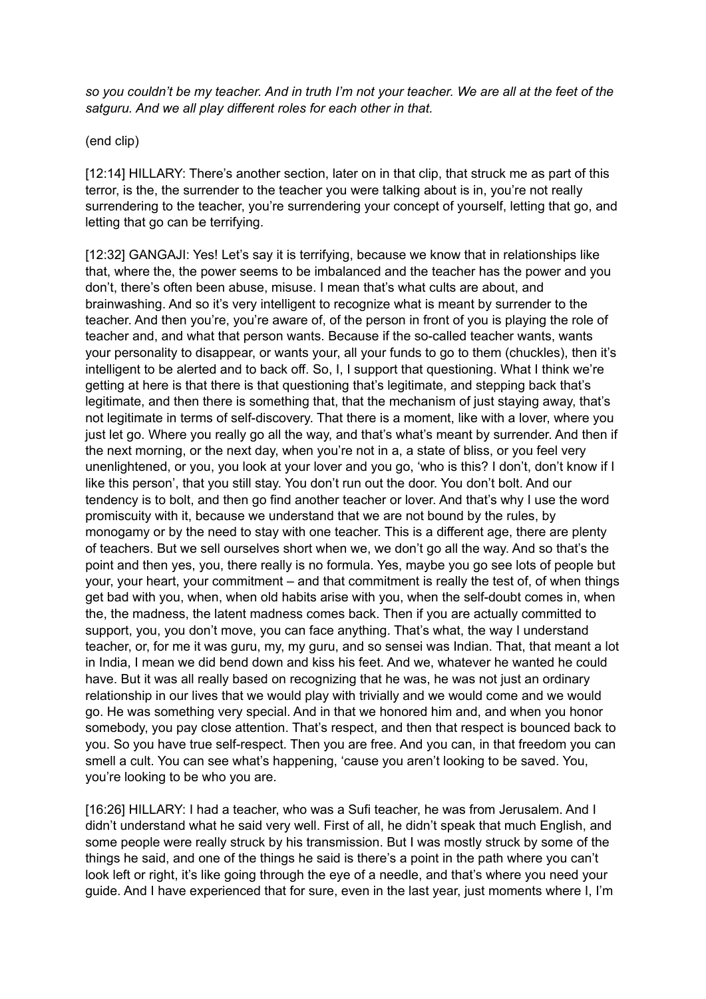*so you couldn't be my teacher. And in truth I'm not your teacher. We are all at the feet of the satguru. And we all play different roles for each other in that.* 

(end clip)

[12:14] HILLARY: There's another section, later on in that clip, that struck me as part of this terror, is the, the surrender to the teacher you were talking about is in, you're not really surrendering to the teacher, you're surrendering your concept of yourself, letting that go, and letting that go can be terrifying.

[12:32] GANGAJI: Yes! Let's say it is terrifying, because we know that in relationships like that, where the, the power seems to be imbalanced and the teacher has the power and you don't, there's often been abuse, misuse. I mean that's what cults are about, and brainwashing. And so it's very intelligent to recognize what is meant by surrender to the teacher. And then you're, you're aware of, of the person in front of you is playing the role of teacher and, and what that person wants. Because if the so-called teacher wants, wants your personality to disappear, or wants your, all your funds to go to them (chuckles), then it's intelligent to be alerted and to back off. So, I, I support that questioning. What I think we're getting at here is that there is that questioning that's legitimate, and stepping back that's legitimate, and then there is something that, that the mechanism of just staying away, that's not legitimate in terms of self-discovery. That there is a moment, like with a lover, where you just let go. Where you really go all the way, and that's what's meant by surrender. And then if the next morning, or the next day, when you're not in a, a state of bliss, or you feel very unenlightened, or you, you look at your lover and you go, 'who is this? I don't, don't know if I like this person', that you still stay. You don't run out the door. You don't bolt. And our tendency is to bolt, and then go find another teacher or lover. And that's why I use the word promiscuity with it, because we understand that we are not bound by the rules, by monogamy or by the need to stay with one teacher. This is a different age, there are plenty of teachers. But we sell ourselves short when we, we don't go all the way. And so that's the point and then yes, you, there really is no formula. Yes, maybe you go see lots of people but your, your heart, your commitment – and that commitment is really the test of, of when things get bad with you, when, when old habits arise with you, when the self-doubt comes in, when the, the madness, the latent madness comes back. Then if you are actually committed to support, you, you don't move, you can face anything. That's what, the way I understand teacher, or, for me it was guru, my, my guru, and so sensei was Indian. That, that meant a lot in India, I mean we did bend down and kiss his feet. And we, whatever he wanted he could have. But it was all really based on recognizing that he was, he was not just an ordinary relationship in our lives that we would play with trivially and we would come and we would go. He was something very special. And in that we honored him and, and when you honor somebody, you pay close attention. That's respect, and then that respect is bounced back to you. So you have true self-respect. Then you are free. And you can, in that freedom you can smell a cult. You can see what's happening, 'cause you aren't looking to be saved. You, you're looking to be who you are.

[16:26] HILLARY: I had a teacher, who was a Sufi teacher, he was from Jerusalem. And I didn't understand what he said very well. First of all, he didn't speak that much English, and some people were really struck by his transmission. But I was mostly struck by some of the things he said, and one of the things he said is there's a point in the path where you can't look left or right, it's like going through the eye of a needle, and that's where you need your guide. And I have experienced that for sure, even in the last year, just moments where I, I'm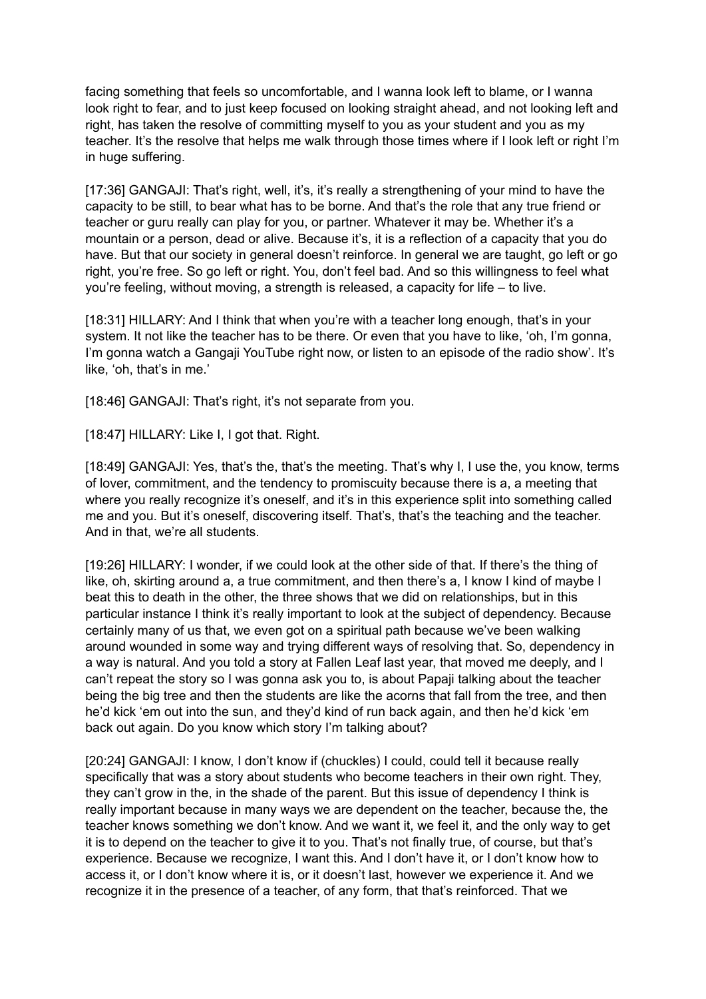facing something that feels so uncomfortable, and I wanna look left to blame, or I wanna look right to fear, and to just keep focused on looking straight ahead, and not looking left and right, has taken the resolve of committing myself to you as your student and you as my teacher. It's the resolve that helps me walk through those times where if I look left or right I'm in huge suffering.

[17:36] GANGAJI: That's right, well, it's, it's really a strengthening of your mind to have the capacity to be still, to bear what has to be borne. And that's the role that any true friend or teacher or guru really can play for you, or partner. Whatever it may be. Whether it's a mountain or a person, dead or alive. Because it's, it is a reflection of a capacity that you do have. But that our society in general doesn't reinforce. In general we are taught, go left or go right, you're free. So go left or right. You, don't feel bad. And so this willingness to feel what you're feeling, without moving, a strength is released, a capacity for life – to live.

[18:31] HILLARY: And I think that when you're with a teacher long enough, that's in your system. It not like the teacher has to be there. Or even that you have to like, 'oh, I'm gonna, I'm gonna watch a Gangaji YouTube right now, or listen to an episode of the radio show'. It's like, 'oh, that's in me.'

[18:46] GANGAJI: That's right, it's not separate from you.

[18:47] HILLARY: Like I, I got that. Right.

[18:49] GANGAJI: Yes, that's the, that's the meeting. That's why I, I use the, you know, terms of lover, commitment, and the tendency to promiscuity because there is a, a meeting that where you really recognize it's oneself, and it's in this experience split into something called me and you. But it's oneself, discovering itself. That's, that's the teaching and the teacher. And in that, we're all students.

[19:26] HILLARY: I wonder, if we could look at the other side of that. If there's the thing of like, oh, skirting around a, a true commitment, and then there's a, I know I kind of maybe I beat this to death in the other, the three shows that we did on relationships, but in this particular instance I think it's really important to look at the subject of dependency. Because certainly many of us that, we even got on a spiritual path because we've been walking around wounded in some way and trying different ways of resolving that. So, dependency in a way is natural. And you told a story at Fallen Leaf last year, that moved me deeply, and I can't repeat the story so I was gonna ask you to, is about Papaji talking about the teacher being the big tree and then the students are like the acorns that fall from the tree, and then he'd kick 'em out into the sun, and they'd kind of run back again, and then he'd kick 'em back out again. Do you know which story I'm talking about?

[20:24] GANGAJI: I know, I don't know if (chuckles) I could, could tell it because really specifically that was a story about students who become teachers in their own right. They, they can't grow in the, in the shade of the parent. But this issue of dependency I think is really important because in many ways we are dependent on the teacher, because the, the teacher knows something we don't know. And we want it, we feel it, and the only way to get it is to depend on the teacher to give it to you. That's not finally true, of course, but that's experience. Because we recognize, I want this. And I don't have it, or I don't know how to access it, or I don't know where it is, or it doesn't last, however we experience it. And we recognize it in the presence of a teacher, of any form, that that's reinforced. That we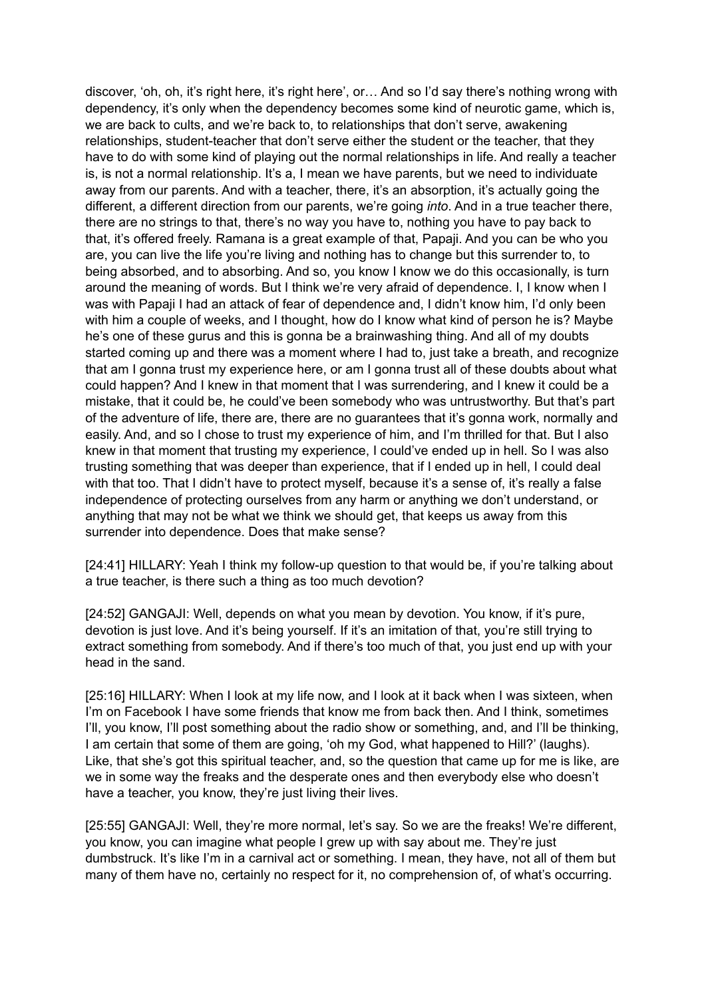discover, 'oh, oh, it's right here, it's right here', or… And so I'd say there's nothing wrong with dependency, it's only when the dependency becomes some kind of neurotic game, which is, we are back to cults, and we're back to, to relationships that don't serve, awakening relationships, student-teacher that don't serve either the student or the teacher, that they have to do with some kind of playing out the normal relationships in life. And really a teacher is, is not a normal relationship. It's a, I mean we have parents, but we need to individuate away from our parents. And with a teacher, there, it's an absorption, it's actually going the different, a different direction from our parents, we're going *into*. And in a true teacher there, there are no strings to that, there's no way you have to, nothing you have to pay back to that, it's offered freely. Ramana is a great example of that, Papaji. And you can be who you are, you can live the life you're living and nothing has to change but this surrender to, to being absorbed, and to absorbing. And so, you know I know we do this occasionally, is turn around the meaning of words. But I think we're very afraid of dependence. I, I know when I was with Papaji I had an attack of fear of dependence and, I didn't know him, I'd only been with him a couple of weeks, and I thought, how do I know what kind of person he is? Maybe he's one of these gurus and this is gonna be a brainwashing thing. And all of my doubts started coming up and there was a moment where I had to, just take a breath, and recognize that am I gonna trust my experience here, or am I gonna trust all of these doubts about what could happen? And I knew in that moment that I was surrendering, and I knew it could be a mistake, that it could be, he could've been somebody who was untrustworthy. But that's part of the adventure of life, there are, there are no guarantees that it's gonna work, normally and easily. And, and so I chose to trust my experience of him, and I'm thrilled for that. But I also knew in that moment that trusting my experience, I could've ended up in hell. So I was also trusting something that was deeper than experience, that if I ended up in hell, I could deal with that too. That I didn't have to protect myself, because it's a sense of, it's really a false independence of protecting ourselves from any harm or anything we don't understand, or anything that may not be what we think we should get, that keeps us away from this surrender into dependence. Does that make sense?

[24:41] HILLARY: Yeah I think my follow-up question to that would be, if you're talking about a true teacher, is there such a thing as too much devotion?

[24:52] GANGAJI: Well, depends on what you mean by devotion. You know, if it's pure, devotion is just love. And it's being yourself. If it's an imitation of that, you're still trying to extract something from somebody. And if there's too much of that, you just end up with your head in the sand.

[25:16] HILLARY: When I look at my life now, and I look at it back when I was sixteen, when I'm on Facebook I have some friends that know me from back then. And I think, sometimes I'll, you know, I'll post something about the radio show or something, and, and I'll be thinking, I am certain that some of them are going, 'oh my God, what happened to Hill?' (laughs). Like, that she's got this spiritual teacher, and, so the question that came up for me is like, are we in some way the freaks and the desperate ones and then everybody else who doesn't have a teacher, you know, they're just living their lives.

[25:55] GANGAJI: Well, they're more normal, let's say. So we are the freaks! We're different, you know, you can imagine what people I grew up with say about me. They're just dumbstruck. It's like I'm in a carnival act or something. I mean, they have, not all of them but many of them have no, certainly no respect for it, no comprehension of, of what's occurring.